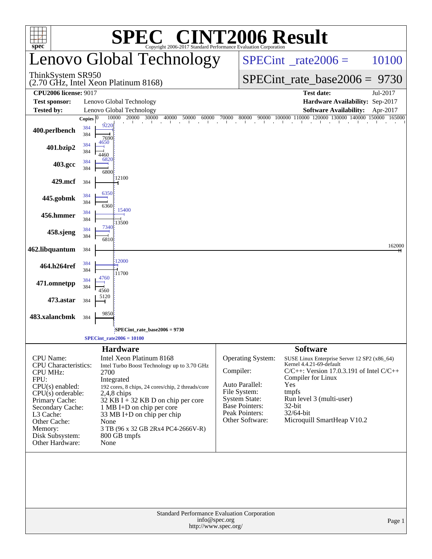| <b>C® CINT2006 Result</b><br>SPE®<br>$spec^*$<br>Copyright 2006-2017 Standard Performance Evaluation Corporation                                                                                                                           |                                                                                                                                                                                                                                                                                                                                                                 |                                                                                                                                                               |                                                                                                                                                                                                                                                                        |  |  |  |  |  |  |  |
|--------------------------------------------------------------------------------------------------------------------------------------------------------------------------------------------------------------------------------------------|-----------------------------------------------------------------------------------------------------------------------------------------------------------------------------------------------------------------------------------------------------------------------------------------------------------------------------------------------------------------|---------------------------------------------------------------------------------------------------------------------------------------------------------------|------------------------------------------------------------------------------------------------------------------------------------------------------------------------------------------------------------------------------------------------------------------------|--|--|--|--|--|--|--|
|                                                                                                                                                                                                                                            | Lenovo Global Technology                                                                                                                                                                                                                                                                                                                                        |                                                                                                                                                               | $SPECint^{\circ}$ <sub>_rate2006</sub> =<br>10100                                                                                                                                                                                                                      |  |  |  |  |  |  |  |
| ThinkSystem SR950                                                                                                                                                                                                                          | (2.70 GHz, Intel Xeon Platinum 8168)                                                                                                                                                                                                                                                                                                                            |                                                                                                                                                               | $SPECint_rate_base2006 = 9730$                                                                                                                                                                                                                                         |  |  |  |  |  |  |  |
| <b>CPU2006 license: 9017</b>                                                                                                                                                                                                               |                                                                                                                                                                                                                                                                                                                                                                 |                                                                                                                                                               | <b>Test date:</b><br>Jul-2017                                                                                                                                                                                                                                          |  |  |  |  |  |  |  |
| <b>Test sponsor:</b>                                                                                                                                                                                                                       | Lenovo Global Technology                                                                                                                                                                                                                                                                                                                                        |                                                                                                                                                               | Hardware Availability: Sep-2017                                                                                                                                                                                                                                        |  |  |  |  |  |  |  |
| Tested by:                                                                                                                                                                                                                                 | Lenovo Global Technology<br>10000 20000 30000<br>40000 50000<br>60000<br>Copies $ 0 $                                                                                                                                                                                                                                                                           | 70000<br>80000                                                                                                                                                | <b>Software Availability:</b><br>Apr-2017<br>90000 100000 110000 120000 130000 140000 150000 165000                                                                                                                                                                    |  |  |  |  |  |  |  |
| 400.perlbench                                                                                                                                                                                                                              | diamond and<br>$\sim 10^{-1}$<br>$\perp$<br>9220<br>384<br>384<br>7690                                                                                                                                                                                                                                                                                          | <b>Contract</b><br>diamond and<br><b>COLLECT</b>                                                                                                              | $\mathbf{L}$<br>and the<br>$\sim 10^{-1}$                                                                                                                                                                                                                              |  |  |  |  |  |  |  |
| 401.bzip2                                                                                                                                                                                                                                  | 4650<br>384<br>384<br>4460                                                                                                                                                                                                                                                                                                                                      |                                                                                                                                                               |                                                                                                                                                                                                                                                                        |  |  |  |  |  |  |  |
| 403.gcc                                                                                                                                                                                                                                    | 6820<br>384<br>384<br>6800                                                                                                                                                                                                                                                                                                                                      |                                                                                                                                                               |                                                                                                                                                                                                                                                                        |  |  |  |  |  |  |  |
| 429.mcf                                                                                                                                                                                                                                    | 12100<br>384                                                                                                                                                                                                                                                                                                                                                    |                                                                                                                                                               |                                                                                                                                                                                                                                                                        |  |  |  |  |  |  |  |
| 445.gobmk                                                                                                                                                                                                                                  | 6350<br>384<br>384<br>6360                                                                                                                                                                                                                                                                                                                                      |                                                                                                                                                               |                                                                                                                                                                                                                                                                        |  |  |  |  |  |  |  |
| 456.hmmer                                                                                                                                                                                                                                  | 15400<br>384<br>384<br>13500                                                                                                                                                                                                                                                                                                                                    |                                                                                                                                                               |                                                                                                                                                                                                                                                                        |  |  |  |  |  |  |  |
| 458.sjeng                                                                                                                                                                                                                                  | 7340<br>384<br>384<br>6810                                                                                                                                                                                                                                                                                                                                      |                                                                                                                                                               |                                                                                                                                                                                                                                                                        |  |  |  |  |  |  |  |
| 462.libquantum                                                                                                                                                                                                                             | 384                                                                                                                                                                                                                                                                                                                                                             |                                                                                                                                                               | 162000                                                                                                                                                                                                                                                                 |  |  |  |  |  |  |  |
| 464.h264ref                                                                                                                                                                                                                                | 12000<br>384<br>384<br>11700                                                                                                                                                                                                                                                                                                                                    |                                                                                                                                                               |                                                                                                                                                                                                                                                                        |  |  |  |  |  |  |  |
| 471.omnetpp                                                                                                                                                                                                                                | 4760<br>384<br>384<br>4560                                                                                                                                                                                                                                                                                                                                      |                                                                                                                                                               |                                                                                                                                                                                                                                                                        |  |  |  |  |  |  |  |
| 473.astar                                                                                                                                                                                                                                  | 5120<br>384                                                                                                                                                                                                                                                                                                                                                     |                                                                                                                                                               |                                                                                                                                                                                                                                                                        |  |  |  |  |  |  |  |
| 483.xalancbmk                                                                                                                                                                                                                              | 9850<br>384                                                                                                                                                                                                                                                                                                                                                     |                                                                                                                                                               |                                                                                                                                                                                                                                                                        |  |  |  |  |  |  |  |
|                                                                                                                                                                                                                                            | SPECint_rate_base2006 = 9730                                                                                                                                                                                                                                                                                                                                    |                                                                                                                                                               |                                                                                                                                                                                                                                                                        |  |  |  |  |  |  |  |
|                                                                                                                                                                                                                                            | $SPECint_rate2006 = 10100$                                                                                                                                                                                                                                                                                                                                      |                                                                                                                                                               |                                                                                                                                                                                                                                                                        |  |  |  |  |  |  |  |
| <b>CPU</b> Name:<br><b>CPU</b> Characteristics:<br><b>CPU MHz:</b><br>FPU:<br>$CPU(s)$ enabled:<br>$CPU(s)$ orderable:<br>Primary Cache:<br>Secondary Cache:<br>L3 Cache:<br>Other Cache:<br>Memory:<br>Disk Subsystem:<br>Other Hardware: | <b>Hardware</b><br>Intel Xeon Platinum 8168<br>Intel Turbo Boost Technology up to 3.70 GHz<br>2700<br>Integrated<br>192 cores, 8 chips, 24 cores/chip, 2 threads/core<br>$2,4,8$ chips<br>32 KB I $+$ 32 KB D on chip per core<br>1 MB I+D on chip per core<br>33 MB I+D on chip per chip<br>None<br>3 TB (96 x 32 GB 2Rx4 PC4-2666V-R)<br>800 GB tmpfs<br>None | <b>Operating System:</b><br>Compiler:<br>Auto Parallel:<br>File System:<br><b>System State:</b><br><b>Base Pointers:</b><br>Peak Pointers:<br>Other Software: | <b>Software</b><br>SUSE Linux Enterprise Server 12 SP2 (x86_64)<br>Kernel 4.4.21-69-default<br>$C/C++$ : Version 17.0.3.191 of Intel $C/C++$<br>Compiler for Linux<br>Yes<br>tmpfs<br>Run level 3 (multi-user)<br>$32$ -bit<br>32/64-bit<br>Microquill SmartHeap V10.2 |  |  |  |  |  |  |  |
|                                                                                                                                                                                                                                            | Standard Performance Evaluation Corporation<br>info@spec.org<br>http://www.spec.org/                                                                                                                                                                                                                                                                            |                                                                                                                                                               | Page 1                                                                                                                                                                                                                                                                 |  |  |  |  |  |  |  |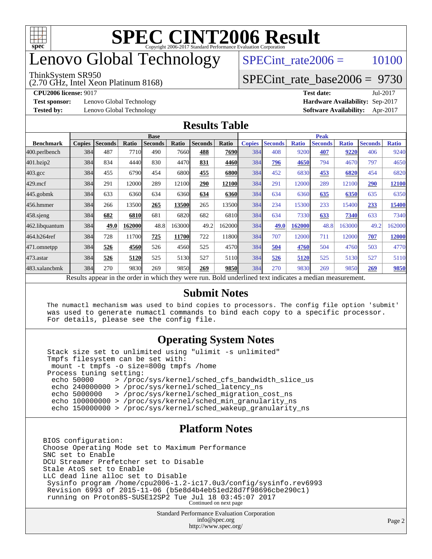

# enovo Global Technology

#### ThinkSystem SR950

(2.70 GHz, Intel Xeon Platinum 8168)

SPECint rate $2006 = 10100$ 

### [SPECint\\_rate\\_base2006 =](http://www.spec.org/auto/cpu2006/Docs/result-fields.html#SPECintratebase2006) 9730

**[CPU2006 license:](http://www.spec.org/auto/cpu2006/Docs/result-fields.html#CPU2006license)** 9017 **[Test date:](http://www.spec.org/auto/cpu2006/Docs/result-fields.html#Testdate)** Jul-2017

**[Test sponsor:](http://www.spec.org/auto/cpu2006/Docs/result-fields.html#Testsponsor)** Lenovo Global Technology **[Hardware Availability:](http://www.spec.org/auto/cpu2006/Docs/result-fields.html#HardwareAvailability)** Sep-2017

**[Tested by:](http://www.spec.org/auto/cpu2006/Docs/result-fields.html#Testedby)** Lenovo Global Technology **[Software Availability:](http://www.spec.org/auto/cpu2006/Docs/result-fields.html#SoftwareAvailability)** Apr-2017

#### **[Results Table](http://www.spec.org/auto/cpu2006/Docs/result-fields.html#ResultsTable)**

|                                                                                                          | <b>Base</b>   |                |        |                |        |                | <b>Peak</b> |               |                |              |                |              |                |              |
|----------------------------------------------------------------------------------------------------------|---------------|----------------|--------|----------------|--------|----------------|-------------|---------------|----------------|--------------|----------------|--------------|----------------|--------------|
| <b>Benchmark</b>                                                                                         | <b>Copies</b> | <b>Seconds</b> | Ratio  | <b>Seconds</b> | Ratio  | <b>Seconds</b> | Ratio       | <b>Copies</b> | <b>Seconds</b> | <b>Ratio</b> | <b>Seconds</b> | <b>Ratio</b> | <b>Seconds</b> | <b>Ratio</b> |
| 400.perlbench                                                                                            | 384           | 487            | 7710   | 490            | 7660   | 488            | 7690        | 384           | 408            | 9200         | 407            | 9220         | 406            | 9240         |
| 401.bzip2                                                                                                | 384           | 834            | 4440   | 830            | 4470   | 831            | 4460        | 384           | 796            | 4650         | 794            | 4670         | 797            | 4650         |
| $403.\mathrm{gcc}$                                                                                       | 384           | 455            | 6790   | 454            | 6800   | 455            | 6800        | 384           | 452            | 6830         | 453            | 6820         | 454            | 6820         |
| $429$ .mcf                                                                                               | 384           | 291            | 12000  | 289            | 12100  | 290            | 12100       | 384           | 291            | 12000        | 289            | 12100        | 290            | 12100        |
| $445$ .gobmk                                                                                             | 384           | 633            | 6360   | 634            | 6360   | 634            | 6360        | 384           | 634            | 6360         | 635            | 6350         | 635            | 6350         |
| 456.hmmer                                                                                                | 384           | 266            | 13500  | 265            | 13500  | 265            | 13500       | 384           | 234            | 15300        | 233            | 15400        | 233            | 15400        |
| $458$ .sjeng                                                                                             | 384           | 682            | 6810   | 681            | 6820   | 682            | 6810        | 384           | 634            | 7330         | 633            | 7340         | 633            | 7340         |
| 462.libquantum                                                                                           | 384           | 49.0           | 162000 | 48.8           | 163000 | 49.2           | 162000      | 384           | 49.0           | 162000       | 48.8           | 163000       | 49.2           | 162000       |
| 464.h264ref                                                                                              | 384           | 728            | 11700  | 725            | 11700  | 722            | 11800       | 384           | 707            | 12000        | 711            | 12000        | 707            | 12000        |
| 471.omnetpp                                                                                              | 384           | 526            | 4560   | 526            | 4560   | 525            | 4570        | 384           | 504            | 4760         | 504            | 4760         | 503            | 4770         |
| $473.$ astar                                                                                             | 384           | 526            | 5120   | 525            | 5130   | 527            | 5110        | 384           | 526            | 5120         | 525            | 5130         | 527            | 5110         |
| 483.xalancbmk                                                                                            | 384           | 270            | 9830   | 269            | 9850   | 269            | 9850        | 384           | 270            | 9830         | 269            | 9850         | 269            | 9850         |
| Results appear in the order in which they were run. Bold underlined text indicates a median measurement. |               |                |        |                |        |                |             |               |                |              |                |              |                |              |

#### **[Submit Notes](http://www.spec.org/auto/cpu2006/Docs/result-fields.html#SubmitNotes)**

 The numactl mechanism was used to bind copies to processors. The config file option 'submit' was used to generate numactl commands to bind each copy to a specific processor. For details, please see the config file.

### **[Operating System Notes](http://www.spec.org/auto/cpu2006/Docs/result-fields.html#OperatingSystemNotes)**

 Stack size set to unlimited using "ulimit -s unlimited" Tmpfs filesystem can be set with: mount -t tmpfs -o size=800g tmpfs /home Process tuning setting:<br>echo 50000 > /proc echo 50000 > /proc/sys/kernel/sched\_cfs\_bandwidth\_slice\_us echo 240000000 > /proc/sys/kernel/sched\_latency\_ns echo 5000000 > /proc/sys/kernel/sched\_migration\_cost\_ns echo 100000000 > /proc/sys/kernel/sched\_min\_granularity\_ns echo 150000000 > /proc/sys/kernel/sched\_wakeup\_granularity\_ns

#### **[Platform Notes](http://www.spec.org/auto/cpu2006/Docs/result-fields.html#PlatformNotes)**

BIOS configuration: Choose Operating Mode set to Maximum Performance SNC set to Enable DCU Streamer Prefetcher set to Disable Stale AtoS set to Enable LLC dead line alloc set to Disable Sysinfo program /home/cpu2006-1.2-ic17.0u3/config/sysinfo.rev6993 Revision 6993 of 2015-11-06 (b5e8d4b4eb51ed28d7f98696cbe290c1) running on Proton8S-SUSE12SP2 Tue Jul 18 03:45:07 2017 Continued on next page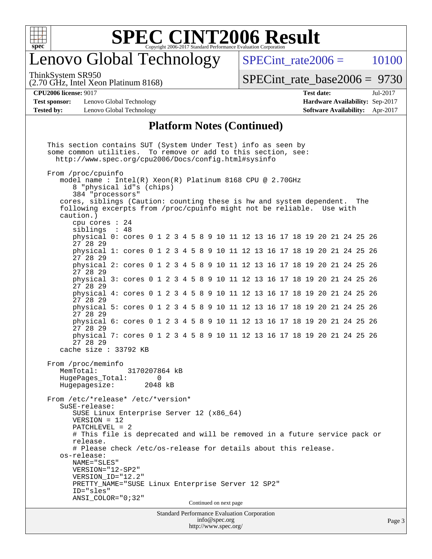

# enovo Global Technology

SPECint rate $2006 = 10100$ 

ThinkSystem SR950

(2.70 GHz, Intel Xeon Platinum 8168)

[SPECint\\_rate\\_base2006 =](http://www.spec.org/auto/cpu2006/Docs/result-fields.html#SPECintratebase2006) 9730

**[Test sponsor:](http://www.spec.org/auto/cpu2006/Docs/result-fields.html#Testsponsor)** Lenovo Global Technology **[Hardware Availability:](http://www.spec.org/auto/cpu2006/Docs/result-fields.html#HardwareAvailability)** Sep-2017 **[Tested by:](http://www.spec.org/auto/cpu2006/Docs/result-fields.html#Testedby)** Lenovo Global Technology **[Software Availability:](http://www.spec.org/auto/cpu2006/Docs/result-fields.html#SoftwareAvailability)** Apr-2017

**[CPU2006 license:](http://www.spec.org/auto/cpu2006/Docs/result-fields.html#CPU2006license)** 9017 **[Test date:](http://www.spec.org/auto/cpu2006/Docs/result-fields.html#Testdate)** Jul-2017

#### **[Platform Notes \(Continued\)](http://www.spec.org/auto/cpu2006/Docs/result-fields.html#PlatformNotes)**

Standard Performance Evaluation Corporation [info@spec.org](mailto:info@spec.org) <http://www.spec.org/> This section contains SUT (System Under Test) info as seen by some common utilities. To remove or add to this section, see: <http://www.spec.org/cpu2006/Docs/config.html#sysinfo> From /proc/cpuinfo model name : Intel(R) Xeon(R) Platinum 8168 CPU @ 2.70GHz 8 "physical id"s (chips) 384 "processors" cores, siblings (Caution: counting these is hw and system dependent. The following excerpts from /proc/cpuinfo might not be reliable. Use with caution.) cpu cores : 24 siblings : 48 physical 0: cores 0 1 2 3 4 5 8 9 10 11 12 13 16 17 18 19 20 21 24 25 26 27 28 29 physical 1: cores 0 1 2 3 4 5 8 9 10 11 12 13 16 17 18 19 20 21 24 25 26 27 28 29 physical 2: cores 0 1 2 3 4 5 8 9 10 11 12 13 16 17 18 19 20 21 24 25 26 27 28 29 physical 3: cores 0 1 2 3 4 5 8 9 10 11 12 13 16 17 18 19 20 21 24 25 26 27 28 29 physical 4: cores 0 1 2 3 4 5 8 9 10 11 12 13 16 17 18 19 20 21 24 25 26 27 28 29 physical 5: cores 0 1 2 3 4 5 8 9 10 11 12 13 16 17 18 19 20 21 24 25 26 27 28 29 physical 6: cores 0 1 2 3 4 5 8 9 10 11 12 13 16 17 18 19 20 21 24 25 26 27 28 29 physical 7: cores 0 1 2 3 4 5 8 9 10 11 12 13 16 17 18 19 20 21 24 25 26 27 28 29 cache size : 33792 KB From /proc/meminfo MemTotal: 3170207864 kB HugePages Total: 0 Hugepagesize: 2048 kB From /etc/\*release\* /etc/\*version\* SuSE-release: SUSE Linux Enterprise Server 12 (x86\_64) VERSION = 12 PATCHLEVEL = 2 # This file is deprecated and will be removed in a future service pack or release. # Please check /etc/os-release for details about this release. os-release: NAME="SLES" VERSION="12-SP2" VERSION\_ID="12.2" PRETTY\_NAME="SUSE Linux Enterprise Server 12 SP2" ID="sles" ANSI\_COLOR="0;32" Continued on next page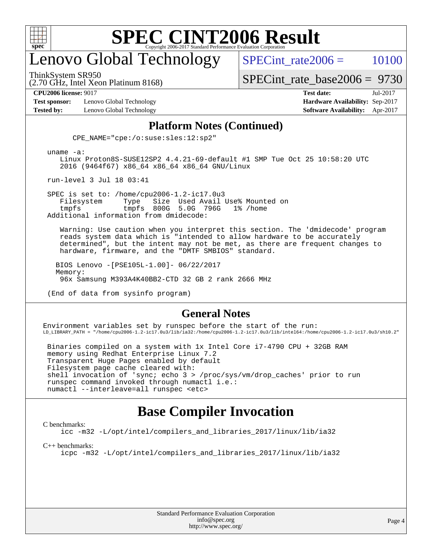

# enovo Global Technology

SPECint rate $2006 = 10100$ 

ThinkSystem SR950

(2.70 GHz, Intel Xeon Platinum 8168)

[SPECint\\_rate\\_base2006 =](http://www.spec.org/auto/cpu2006/Docs/result-fields.html#SPECintratebase2006) 9730

**[Test sponsor:](http://www.spec.org/auto/cpu2006/Docs/result-fields.html#Testsponsor)** Lenovo Global Technology **[Hardware Availability:](http://www.spec.org/auto/cpu2006/Docs/result-fields.html#HardwareAvailability)** Sep-2017

**[CPU2006 license:](http://www.spec.org/auto/cpu2006/Docs/result-fields.html#CPU2006license)** 9017 **[Test date:](http://www.spec.org/auto/cpu2006/Docs/result-fields.html#Testdate)** Jul-2017 **[Tested by:](http://www.spec.org/auto/cpu2006/Docs/result-fields.html#Testedby)** Lenovo Global Technology **[Software Availability:](http://www.spec.org/auto/cpu2006/Docs/result-fields.html#SoftwareAvailability)** Apr-2017

#### **[Platform Notes \(Continued\)](http://www.spec.org/auto/cpu2006/Docs/result-fields.html#PlatformNotes)**

CPE\_NAME="cpe:/o:suse:sles:12:sp2"

uname -a:

 Linux Proton8S-SUSE12SP2 4.4.21-69-default #1 SMP Tue Oct 25 10:58:20 UTC 2016 (9464f67) x86\_64 x86\_64 x86\_64 GNU/Linux

run-level 3 Jul 18 03:41

SPEC is set to: /home/cpu2006-1.2-ic17.0u3<br>Filesystem Type Size Used Avail Filesystem Type Size Used Avail Use% Mounted on tmpfs tmpfs 800G 5.0G 796G 1% /home Additional information from dmidecode:

 Warning: Use caution when you interpret this section. The 'dmidecode' program reads system data which is "intended to allow hardware to be accurately determined", but the intent may not be met, as there are frequent changes to hardware, firmware, and the "DMTF SMBIOS" standard.

 BIOS Lenovo -[PSE105L-1.00]- 06/22/2017 Memory: 96x Samsung M393A4K40BB2-CTD 32 GB 2 rank 2666 MHz

(End of data from sysinfo program)

#### **[General Notes](http://www.spec.org/auto/cpu2006/Docs/result-fields.html#GeneralNotes)**

Environment variables set by runspec before the start of the run: LD\_LIBRARY\_PATH = "/home/cpu2006-1.2-ic17.0u3/lib/ia32:/home/cpu2006-1.2-ic17.0u3/lib/intel64:/home/cpu2006-1.2-ic17.0u3/sh10.2"

 Binaries compiled on a system with 1x Intel Core i7-4790 CPU + 32GB RAM memory using Redhat Enterprise Linux 7.2 Transparent Huge Pages enabled by default Filesystem page cache cleared with: shell invocation of 'sync; echo 3 > /proc/sys/vm/drop\_caches' prior to run runspec command invoked through numactl i.e.: numactl --interleave=all runspec <etc>

### **[Base Compiler Invocation](http://www.spec.org/auto/cpu2006/Docs/result-fields.html#BaseCompilerInvocation)**

#### [C benchmarks](http://www.spec.org/auto/cpu2006/Docs/result-fields.html#Cbenchmarks):

[icc -m32 -L/opt/intel/compilers\\_and\\_libraries\\_2017/linux/lib/ia32](http://www.spec.org/cpu2006/results/res2017q4/cpu2006-20170917-49371.flags.html#user_CCbase_intel_icc_c29f3ff5a7ed067b11e4ec10a03f03ae)

[C++ benchmarks:](http://www.spec.org/auto/cpu2006/Docs/result-fields.html#CXXbenchmarks)

[icpc -m32 -L/opt/intel/compilers\\_and\\_libraries\\_2017/linux/lib/ia32](http://www.spec.org/cpu2006/results/res2017q4/cpu2006-20170917-49371.flags.html#user_CXXbase_intel_icpc_8c35c7808b62dab9ae41a1aa06361b6b)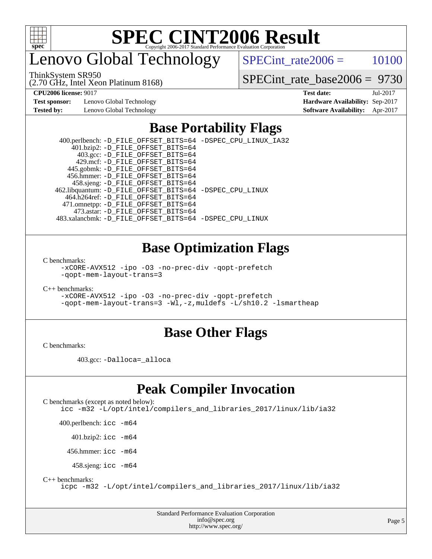

# enovo Global Technology

SPECint rate $2006 = 10100$ 

ThinkSystem SR950

(2.70 GHz, Intel Xeon Platinum 8168)

[SPECint\\_rate\\_base2006 =](http://www.spec.org/auto/cpu2006/Docs/result-fields.html#SPECintratebase2006) 9730

**[Test sponsor:](http://www.spec.org/auto/cpu2006/Docs/result-fields.html#Testsponsor)** Lenovo Global Technology **[Hardware Availability:](http://www.spec.org/auto/cpu2006/Docs/result-fields.html#HardwareAvailability)** Sep-2017 **[Tested by:](http://www.spec.org/auto/cpu2006/Docs/result-fields.html#Testedby)** Lenovo Global Technology **[Software Availability:](http://www.spec.org/auto/cpu2006/Docs/result-fields.html#SoftwareAvailability)** Apr-2017

**[CPU2006 license:](http://www.spec.org/auto/cpu2006/Docs/result-fields.html#CPU2006license)** 9017 **[Test date:](http://www.spec.org/auto/cpu2006/Docs/result-fields.html#Testdate)** Jul-2017

# **[Base Portability Flags](http://www.spec.org/auto/cpu2006/Docs/result-fields.html#BasePortabilityFlags)**

 400.perlbench: [-D\\_FILE\\_OFFSET\\_BITS=64](http://www.spec.org/cpu2006/results/res2017q4/cpu2006-20170917-49371.flags.html#user_basePORTABILITY400_perlbench_file_offset_bits_64_438cf9856305ebd76870a2c6dc2689ab) [-DSPEC\\_CPU\\_LINUX\\_IA32](http://www.spec.org/cpu2006/results/res2017q4/cpu2006-20170917-49371.flags.html#b400.perlbench_baseCPORTABILITY_DSPEC_CPU_LINUX_IA32) 401.bzip2: [-D\\_FILE\\_OFFSET\\_BITS=64](http://www.spec.org/cpu2006/results/res2017q4/cpu2006-20170917-49371.flags.html#user_basePORTABILITY401_bzip2_file_offset_bits_64_438cf9856305ebd76870a2c6dc2689ab) 403.gcc: [-D\\_FILE\\_OFFSET\\_BITS=64](http://www.spec.org/cpu2006/results/res2017q4/cpu2006-20170917-49371.flags.html#user_basePORTABILITY403_gcc_file_offset_bits_64_438cf9856305ebd76870a2c6dc2689ab) 429.mcf: [-D\\_FILE\\_OFFSET\\_BITS=64](http://www.spec.org/cpu2006/results/res2017q4/cpu2006-20170917-49371.flags.html#user_basePORTABILITY429_mcf_file_offset_bits_64_438cf9856305ebd76870a2c6dc2689ab) 445.gobmk: [-D\\_FILE\\_OFFSET\\_BITS=64](http://www.spec.org/cpu2006/results/res2017q4/cpu2006-20170917-49371.flags.html#user_basePORTABILITY445_gobmk_file_offset_bits_64_438cf9856305ebd76870a2c6dc2689ab) 456.hmmer: [-D\\_FILE\\_OFFSET\\_BITS=64](http://www.spec.org/cpu2006/results/res2017q4/cpu2006-20170917-49371.flags.html#user_basePORTABILITY456_hmmer_file_offset_bits_64_438cf9856305ebd76870a2c6dc2689ab) 458.sjeng: [-D\\_FILE\\_OFFSET\\_BITS=64](http://www.spec.org/cpu2006/results/res2017q4/cpu2006-20170917-49371.flags.html#user_basePORTABILITY458_sjeng_file_offset_bits_64_438cf9856305ebd76870a2c6dc2689ab) 462.libquantum: [-D\\_FILE\\_OFFSET\\_BITS=64](http://www.spec.org/cpu2006/results/res2017q4/cpu2006-20170917-49371.flags.html#user_basePORTABILITY462_libquantum_file_offset_bits_64_438cf9856305ebd76870a2c6dc2689ab) [-DSPEC\\_CPU\\_LINUX](http://www.spec.org/cpu2006/results/res2017q4/cpu2006-20170917-49371.flags.html#b462.libquantum_baseCPORTABILITY_DSPEC_CPU_LINUX) 464.h264ref: [-D\\_FILE\\_OFFSET\\_BITS=64](http://www.spec.org/cpu2006/results/res2017q4/cpu2006-20170917-49371.flags.html#user_basePORTABILITY464_h264ref_file_offset_bits_64_438cf9856305ebd76870a2c6dc2689ab) 471.omnetpp: [-D\\_FILE\\_OFFSET\\_BITS=64](http://www.spec.org/cpu2006/results/res2017q4/cpu2006-20170917-49371.flags.html#user_basePORTABILITY471_omnetpp_file_offset_bits_64_438cf9856305ebd76870a2c6dc2689ab) 473.astar: [-D\\_FILE\\_OFFSET\\_BITS=64](http://www.spec.org/cpu2006/results/res2017q4/cpu2006-20170917-49371.flags.html#user_basePORTABILITY473_astar_file_offset_bits_64_438cf9856305ebd76870a2c6dc2689ab) 483.xalancbmk: [-D\\_FILE\\_OFFSET\\_BITS=64](http://www.spec.org/cpu2006/results/res2017q4/cpu2006-20170917-49371.flags.html#user_basePORTABILITY483_xalancbmk_file_offset_bits_64_438cf9856305ebd76870a2c6dc2689ab) [-DSPEC\\_CPU\\_LINUX](http://www.spec.org/cpu2006/results/res2017q4/cpu2006-20170917-49371.flags.html#b483.xalancbmk_baseCXXPORTABILITY_DSPEC_CPU_LINUX)

### **[Base Optimization Flags](http://www.spec.org/auto/cpu2006/Docs/result-fields.html#BaseOptimizationFlags)**

[C benchmarks](http://www.spec.org/auto/cpu2006/Docs/result-fields.html#Cbenchmarks):

[-xCORE-AVX512](http://www.spec.org/cpu2006/results/res2017q4/cpu2006-20170917-49371.flags.html#user_CCbase_f-xCORE-AVX512) [-ipo](http://www.spec.org/cpu2006/results/res2017q4/cpu2006-20170917-49371.flags.html#user_CCbase_f-ipo) [-O3](http://www.spec.org/cpu2006/results/res2017q4/cpu2006-20170917-49371.flags.html#user_CCbase_f-O3) [-no-prec-div](http://www.spec.org/cpu2006/results/res2017q4/cpu2006-20170917-49371.flags.html#user_CCbase_f-no-prec-div) [-qopt-prefetch](http://www.spec.org/cpu2006/results/res2017q4/cpu2006-20170917-49371.flags.html#user_CCbase_f-qopt-prefetch) [-qopt-mem-layout-trans=3](http://www.spec.org/cpu2006/results/res2017q4/cpu2006-20170917-49371.flags.html#user_CCbase_f-qopt-mem-layout-trans_170f5be61cd2cedc9b54468c59262d5d)

[C++ benchmarks:](http://www.spec.org/auto/cpu2006/Docs/result-fields.html#CXXbenchmarks)

[-xCORE-AVX512](http://www.spec.org/cpu2006/results/res2017q4/cpu2006-20170917-49371.flags.html#user_CXXbase_f-xCORE-AVX512) [-ipo](http://www.spec.org/cpu2006/results/res2017q4/cpu2006-20170917-49371.flags.html#user_CXXbase_f-ipo) [-O3](http://www.spec.org/cpu2006/results/res2017q4/cpu2006-20170917-49371.flags.html#user_CXXbase_f-O3) [-no-prec-div](http://www.spec.org/cpu2006/results/res2017q4/cpu2006-20170917-49371.flags.html#user_CXXbase_f-no-prec-div) [-qopt-prefetch](http://www.spec.org/cpu2006/results/res2017q4/cpu2006-20170917-49371.flags.html#user_CXXbase_f-qopt-prefetch) [-qopt-mem-layout-trans=3](http://www.spec.org/cpu2006/results/res2017q4/cpu2006-20170917-49371.flags.html#user_CXXbase_f-qopt-mem-layout-trans_170f5be61cd2cedc9b54468c59262d5d) [-Wl,-z,muldefs](http://www.spec.org/cpu2006/results/res2017q4/cpu2006-20170917-49371.flags.html#user_CXXbase_link_force_multiple1_74079c344b956b9658436fd1b6dd3a8a) [-L/sh10.2 -lsmartheap](http://www.spec.org/cpu2006/results/res2017q4/cpu2006-20170917-49371.flags.html#user_CXXbase_SmartHeap_b831f2d313e2fffa6dfe3f00ffc1f1c0)

### **[Base Other Flags](http://www.spec.org/auto/cpu2006/Docs/result-fields.html#BaseOtherFlags)**

[C benchmarks](http://www.spec.org/auto/cpu2006/Docs/result-fields.html#Cbenchmarks):

403.gcc: [-Dalloca=\\_alloca](http://www.spec.org/cpu2006/results/res2017q4/cpu2006-20170917-49371.flags.html#b403.gcc_baseEXTRA_CFLAGS_Dalloca_be3056838c12de2578596ca5467af7f3)

## **[Peak Compiler Invocation](http://www.spec.org/auto/cpu2006/Docs/result-fields.html#PeakCompilerInvocation)**

[C benchmarks \(except as noted below\)](http://www.spec.org/auto/cpu2006/Docs/result-fields.html#Cbenchmarksexceptasnotedbelow): [icc -m32 -L/opt/intel/compilers\\_and\\_libraries\\_2017/linux/lib/ia32](http://www.spec.org/cpu2006/results/res2017q4/cpu2006-20170917-49371.flags.html#user_CCpeak_intel_icc_c29f3ff5a7ed067b11e4ec10a03f03ae)

400.perlbench: [icc -m64](http://www.spec.org/cpu2006/results/res2017q4/cpu2006-20170917-49371.flags.html#user_peakCCLD400_perlbench_intel_icc_64bit_bda6cc9af1fdbb0edc3795bac97ada53)

401.bzip2: [icc -m64](http://www.spec.org/cpu2006/results/res2017q4/cpu2006-20170917-49371.flags.html#user_peakCCLD401_bzip2_intel_icc_64bit_bda6cc9af1fdbb0edc3795bac97ada53)

456.hmmer: [icc -m64](http://www.spec.org/cpu2006/results/res2017q4/cpu2006-20170917-49371.flags.html#user_peakCCLD456_hmmer_intel_icc_64bit_bda6cc9af1fdbb0edc3795bac97ada53)

458.sjeng: [icc -m64](http://www.spec.org/cpu2006/results/res2017q4/cpu2006-20170917-49371.flags.html#user_peakCCLD458_sjeng_intel_icc_64bit_bda6cc9af1fdbb0edc3795bac97ada53)

[C++ benchmarks:](http://www.spec.org/auto/cpu2006/Docs/result-fields.html#CXXbenchmarks)

[icpc -m32 -L/opt/intel/compilers\\_and\\_libraries\\_2017/linux/lib/ia32](http://www.spec.org/cpu2006/results/res2017q4/cpu2006-20170917-49371.flags.html#user_CXXpeak_intel_icpc_8c35c7808b62dab9ae41a1aa06361b6b)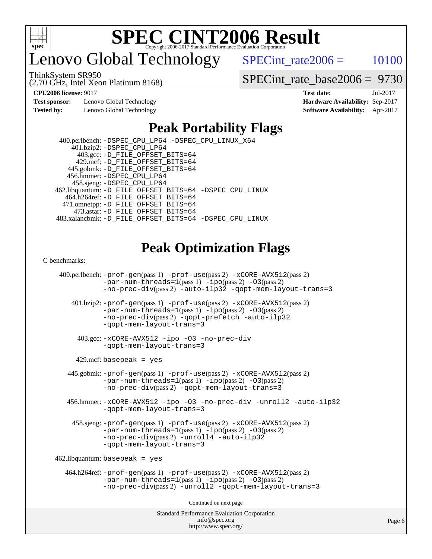

enovo Global Technology

 $SPECTnt_rate2006 = 10100$ 

ThinkSystem SR950

(2.70 GHz, Intel Xeon Platinum 8168)

[SPECint\\_rate\\_base2006 =](http://www.spec.org/auto/cpu2006/Docs/result-fields.html#SPECintratebase2006) 9730

**[Test sponsor:](http://www.spec.org/auto/cpu2006/Docs/result-fields.html#Testsponsor)** Lenovo Global Technology **[Hardware Availability:](http://www.spec.org/auto/cpu2006/Docs/result-fields.html#HardwareAvailability)** Sep-2017 **[Tested by:](http://www.spec.org/auto/cpu2006/Docs/result-fields.html#Testedby)** Lenovo Global Technology **[Software Availability:](http://www.spec.org/auto/cpu2006/Docs/result-fields.html#SoftwareAvailability)** Apr-2017

**[CPU2006 license:](http://www.spec.org/auto/cpu2006/Docs/result-fields.html#CPU2006license)** 9017 **[Test date:](http://www.spec.org/auto/cpu2006/Docs/result-fields.html#Testdate)** Jul-2017

## **[Peak Portability Flags](http://www.spec.org/auto/cpu2006/Docs/result-fields.html#PeakPortabilityFlags)**

 400.perlbench: [-DSPEC\\_CPU\\_LP64](http://www.spec.org/cpu2006/results/res2017q4/cpu2006-20170917-49371.flags.html#b400.perlbench_peakCPORTABILITY_DSPEC_CPU_LP64) [-DSPEC\\_CPU\\_LINUX\\_X64](http://www.spec.org/cpu2006/results/res2017q4/cpu2006-20170917-49371.flags.html#b400.perlbench_peakCPORTABILITY_DSPEC_CPU_LINUX_X64) 401.bzip2: [-DSPEC\\_CPU\\_LP64](http://www.spec.org/cpu2006/results/res2017q4/cpu2006-20170917-49371.flags.html#suite_peakCPORTABILITY401_bzip2_DSPEC_CPU_LP64) 403.gcc: [-D\\_FILE\\_OFFSET\\_BITS=64](http://www.spec.org/cpu2006/results/res2017q4/cpu2006-20170917-49371.flags.html#user_peakPORTABILITY403_gcc_file_offset_bits_64_438cf9856305ebd76870a2c6dc2689ab) 429.mcf: [-D\\_FILE\\_OFFSET\\_BITS=64](http://www.spec.org/cpu2006/results/res2017q4/cpu2006-20170917-49371.flags.html#user_peakPORTABILITY429_mcf_file_offset_bits_64_438cf9856305ebd76870a2c6dc2689ab) 445.gobmk: [-D\\_FILE\\_OFFSET\\_BITS=64](http://www.spec.org/cpu2006/results/res2017q4/cpu2006-20170917-49371.flags.html#user_peakPORTABILITY445_gobmk_file_offset_bits_64_438cf9856305ebd76870a2c6dc2689ab) 456.hmmer: [-DSPEC\\_CPU\\_LP64](http://www.spec.org/cpu2006/results/res2017q4/cpu2006-20170917-49371.flags.html#suite_peakCPORTABILITY456_hmmer_DSPEC_CPU_LP64) 458.sjeng: [-DSPEC\\_CPU\\_LP64](http://www.spec.org/cpu2006/results/res2017q4/cpu2006-20170917-49371.flags.html#suite_peakCPORTABILITY458_sjeng_DSPEC_CPU_LP64) 462.libquantum: [-D\\_FILE\\_OFFSET\\_BITS=64](http://www.spec.org/cpu2006/results/res2017q4/cpu2006-20170917-49371.flags.html#user_peakPORTABILITY462_libquantum_file_offset_bits_64_438cf9856305ebd76870a2c6dc2689ab) [-DSPEC\\_CPU\\_LINUX](http://www.spec.org/cpu2006/results/res2017q4/cpu2006-20170917-49371.flags.html#b462.libquantum_peakCPORTABILITY_DSPEC_CPU_LINUX) 464.h264ref: [-D\\_FILE\\_OFFSET\\_BITS=64](http://www.spec.org/cpu2006/results/res2017q4/cpu2006-20170917-49371.flags.html#user_peakPORTABILITY464_h264ref_file_offset_bits_64_438cf9856305ebd76870a2c6dc2689ab) 471.omnetpp: [-D\\_FILE\\_OFFSET\\_BITS=64](http://www.spec.org/cpu2006/results/res2017q4/cpu2006-20170917-49371.flags.html#user_peakPORTABILITY471_omnetpp_file_offset_bits_64_438cf9856305ebd76870a2c6dc2689ab) 473.astar: [-D\\_FILE\\_OFFSET\\_BITS=64](http://www.spec.org/cpu2006/results/res2017q4/cpu2006-20170917-49371.flags.html#user_peakPORTABILITY473_astar_file_offset_bits_64_438cf9856305ebd76870a2c6dc2689ab) 483.xalancbmk: [-D\\_FILE\\_OFFSET\\_BITS=64](http://www.spec.org/cpu2006/results/res2017q4/cpu2006-20170917-49371.flags.html#user_peakPORTABILITY483_xalancbmk_file_offset_bits_64_438cf9856305ebd76870a2c6dc2689ab) [-DSPEC\\_CPU\\_LINUX](http://www.spec.org/cpu2006/results/res2017q4/cpu2006-20170917-49371.flags.html#b483.xalancbmk_peakCXXPORTABILITY_DSPEC_CPU_LINUX)

# **[Peak Optimization Flags](http://www.spec.org/auto/cpu2006/Docs/result-fields.html#PeakOptimizationFlags)**

[C benchmarks](http://www.spec.org/auto/cpu2006/Docs/result-fields.html#Cbenchmarks):

Standard Performance Evaluation Corporation 400.perlbench: [-prof-gen](http://www.spec.org/cpu2006/results/res2017q4/cpu2006-20170917-49371.flags.html#user_peakPASS1_CFLAGSPASS1_LDCFLAGS400_perlbench_prof_gen_e43856698f6ca7b7e442dfd80e94a8fc)(pass 1) [-prof-use](http://www.spec.org/cpu2006/results/res2017q4/cpu2006-20170917-49371.flags.html#user_peakPASS2_CFLAGSPASS2_LDCFLAGS400_perlbench_prof_use_bccf7792157ff70d64e32fe3e1250b55)(pass 2) [-xCORE-AVX512](http://www.spec.org/cpu2006/results/res2017q4/cpu2006-20170917-49371.flags.html#user_peakPASS2_CFLAGSPASS2_LDCFLAGS400_perlbench_f-xCORE-AVX512)(pass 2) [-par-num-threads=1](http://www.spec.org/cpu2006/results/res2017q4/cpu2006-20170917-49371.flags.html#user_peakPASS1_CFLAGSPASS1_LDCFLAGS400_perlbench_par_num_threads_786a6ff141b4e9e90432e998842df6c2)(pass 1) [-ipo](http://www.spec.org/cpu2006/results/res2017q4/cpu2006-20170917-49371.flags.html#user_peakPASS2_CFLAGSPASS2_LDCFLAGS400_perlbench_f-ipo)(pass 2) [-O3](http://www.spec.org/cpu2006/results/res2017q4/cpu2006-20170917-49371.flags.html#user_peakPASS2_CFLAGSPASS2_LDCFLAGS400_perlbench_f-O3)(pass 2) [-no-prec-div](http://www.spec.org/cpu2006/results/res2017q4/cpu2006-20170917-49371.flags.html#user_peakPASS2_CFLAGSPASS2_LDCFLAGS400_perlbench_f-no-prec-div)(pass 2) [-auto-ilp32](http://www.spec.org/cpu2006/results/res2017q4/cpu2006-20170917-49371.flags.html#user_peakCOPTIMIZE400_perlbench_f-auto-ilp32) [-qopt-mem-layout-trans=3](http://www.spec.org/cpu2006/results/res2017q4/cpu2006-20170917-49371.flags.html#user_peakCOPTIMIZE400_perlbench_f-qopt-mem-layout-trans_170f5be61cd2cedc9b54468c59262d5d) 401.bzip2: [-prof-gen](http://www.spec.org/cpu2006/results/res2017q4/cpu2006-20170917-49371.flags.html#user_peakPASS1_CFLAGSPASS1_LDCFLAGS401_bzip2_prof_gen_e43856698f6ca7b7e442dfd80e94a8fc)(pass 1) [-prof-use](http://www.spec.org/cpu2006/results/res2017q4/cpu2006-20170917-49371.flags.html#user_peakPASS2_CFLAGSPASS2_LDCFLAGS401_bzip2_prof_use_bccf7792157ff70d64e32fe3e1250b55)(pass 2) [-xCORE-AVX512](http://www.spec.org/cpu2006/results/res2017q4/cpu2006-20170917-49371.flags.html#user_peakPASS2_CFLAGSPASS2_LDCFLAGS401_bzip2_f-xCORE-AVX512)(pass 2) [-par-num-threads=1](http://www.spec.org/cpu2006/results/res2017q4/cpu2006-20170917-49371.flags.html#user_peakPASS1_CFLAGSPASS1_LDCFLAGS401_bzip2_par_num_threads_786a6ff141b4e9e90432e998842df6c2)(pass 1) [-ipo](http://www.spec.org/cpu2006/results/res2017q4/cpu2006-20170917-49371.flags.html#user_peakPASS2_CFLAGSPASS2_LDCFLAGS401_bzip2_f-ipo)(pass 2) [-O3](http://www.spec.org/cpu2006/results/res2017q4/cpu2006-20170917-49371.flags.html#user_peakPASS2_CFLAGSPASS2_LDCFLAGS401_bzip2_f-O3)(pass 2) [-no-prec-div](http://www.spec.org/cpu2006/results/res2017q4/cpu2006-20170917-49371.flags.html#user_peakPASS2_CFLAGSPASS2_LDCFLAGS401_bzip2_f-no-prec-div)(pass 2) [-qopt-prefetch](http://www.spec.org/cpu2006/results/res2017q4/cpu2006-20170917-49371.flags.html#user_peakCOPTIMIZE401_bzip2_f-qopt-prefetch) [-auto-ilp32](http://www.spec.org/cpu2006/results/res2017q4/cpu2006-20170917-49371.flags.html#user_peakCOPTIMIZE401_bzip2_f-auto-ilp32) [-qopt-mem-layout-trans=3](http://www.spec.org/cpu2006/results/res2017q4/cpu2006-20170917-49371.flags.html#user_peakCOPTIMIZE401_bzip2_f-qopt-mem-layout-trans_170f5be61cd2cedc9b54468c59262d5d) 403.gcc: [-xCORE-AVX512](http://www.spec.org/cpu2006/results/res2017q4/cpu2006-20170917-49371.flags.html#user_peakOPTIMIZE403_gcc_f-xCORE-AVX512) [-ipo](http://www.spec.org/cpu2006/results/res2017q4/cpu2006-20170917-49371.flags.html#user_peakOPTIMIZE403_gcc_f-ipo) [-O3](http://www.spec.org/cpu2006/results/res2017q4/cpu2006-20170917-49371.flags.html#user_peakOPTIMIZE403_gcc_f-O3) [-no-prec-div](http://www.spec.org/cpu2006/results/res2017q4/cpu2006-20170917-49371.flags.html#user_peakOPTIMIZE403_gcc_f-no-prec-div) [-qopt-mem-layout-trans=3](http://www.spec.org/cpu2006/results/res2017q4/cpu2006-20170917-49371.flags.html#user_peakCOPTIMIZE403_gcc_f-qopt-mem-layout-trans_170f5be61cd2cedc9b54468c59262d5d)  $429$ .mcf: basepeak = yes 445.gobmk: [-prof-gen](http://www.spec.org/cpu2006/results/res2017q4/cpu2006-20170917-49371.flags.html#user_peakPASS1_CFLAGSPASS1_LDCFLAGS445_gobmk_prof_gen_e43856698f6ca7b7e442dfd80e94a8fc)(pass 1) [-prof-use](http://www.spec.org/cpu2006/results/res2017q4/cpu2006-20170917-49371.flags.html#user_peakPASS2_CFLAGSPASS2_LDCFLAGSPASS2_LDFLAGS445_gobmk_prof_use_bccf7792157ff70d64e32fe3e1250b55)(pass 2) [-xCORE-AVX512](http://www.spec.org/cpu2006/results/res2017q4/cpu2006-20170917-49371.flags.html#user_peakPASS2_CFLAGSPASS2_LDCFLAGSPASS2_LDFLAGS445_gobmk_f-xCORE-AVX512)(pass 2) [-par-num-threads=1](http://www.spec.org/cpu2006/results/res2017q4/cpu2006-20170917-49371.flags.html#user_peakPASS1_CFLAGSPASS1_LDCFLAGS445_gobmk_par_num_threads_786a6ff141b4e9e90432e998842df6c2)(pass 1) [-ipo](http://www.spec.org/cpu2006/results/res2017q4/cpu2006-20170917-49371.flags.html#user_peakPASS2_LDCFLAGS445_gobmk_f-ipo)(pass 2) [-O3](http://www.spec.org/cpu2006/results/res2017q4/cpu2006-20170917-49371.flags.html#user_peakPASS2_LDCFLAGS445_gobmk_f-O3)(pass 2) [-no-prec-div](http://www.spec.org/cpu2006/results/res2017q4/cpu2006-20170917-49371.flags.html#user_peakPASS2_LDCFLAGS445_gobmk_f-no-prec-div)(pass 2) [-qopt-mem-layout-trans=3](http://www.spec.org/cpu2006/results/res2017q4/cpu2006-20170917-49371.flags.html#user_peakCOPTIMIZE445_gobmk_f-qopt-mem-layout-trans_170f5be61cd2cedc9b54468c59262d5d) 456.hmmer: [-xCORE-AVX512](http://www.spec.org/cpu2006/results/res2017q4/cpu2006-20170917-49371.flags.html#user_peakOPTIMIZE456_hmmer_f-xCORE-AVX512) [-ipo](http://www.spec.org/cpu2006/results/res2017q4/cpu2006-20170917-49371.flags.html#user_peakOPTIMIZE456_hmmer_f-ipo) [-O3](http://www.spec.org/cpu2006/results/res2017q4/cpu2006-20170917-49371.flags.html#user_peakOPTIMIZE456_hmmer_f-O3) [-no-prec-div](http://www.spec.org/cpu2006/results/res2017q4/cpu2006-20170917-49371.flags.html#user_peakOPTIMIZE456_hmmer_f-no-prec-div) [-unroll2](http://www.spec.org/cpu2006/results/res2017q4/cpu2006-20170917-49371.flags.html#user_peakCOPTIMIZE456_hmmer_f-unroll_784dae83bebfb236979b41d2422d7ec2) [-auto-ilp32](http://www.spec.org/cpu2006/results/res2017q4/cpu2006-20170917-49371.flags.html#user_peakCOPTIMIZE456_hmmer_f-auto-ilp32) [-qopt-mem-layout-trans=3](http://www.spec.org/cpu2006/results/res2017q4/cpu2006-20170917-49371.flags.html#user_peakCOPTIMIZE456_hmmer_f-qopt-mem-layout-trans_170f5be61cd2cedc9b54468c59262d5d) 458.sjeng: [-prof-gen](http://www.spec.org/cpu2006/results/res2017q4/cpu2006-20170917-49371.flags.html#user_peakPASS1_CFLAGSPASS1_LDCFLAGS458_sjeng_prof_gen_e43856698f6ca7b7e442dfd80e94a8fc)(pass 1) [-prof-use](http://www.spec.org/cpu2006/results/res2017q4/cpu2006-20170917-49371.flags.html#user_peakPASS2_CFLAGSPASS2_LDCFLAGS458_sjeng_prof_use_bccf7792157ff70d64e32fe3e1250b55)(pass 2) [-xCORE-AVX512](http://www.spec.org/cpu2006/results/res2017q4/cpu2006-20170917-49371.flags.html#user_peakPASS2_CFLAGSPASS2_LDCFLAGS458_sjeng_f-xCORE-AVX512)(pass 2) [-par-num-threads=1](http://www.spec.org/cpu2006/results/res2017q4/cpu2006-20170917-49371.flags.html#user_peakPASS1_CFLAGSPASS1_LDCFLAGS458_sjeng_par_num_threads_786a6ff141b4e9e90432e998842df6c2)(pass 1) [-ipo](http://www.spec.org/cpu2006/results/res2017q4/cpu2006-20170917-49371.flags.html#user_peakPASS2_CFLAGSPASS2_LDCFLAGS458_sjeng_f-ipo)(pass 2) [-O3](http://www.spec.org/cpu2006/results/res2017q4/cpu2006-20170917-49371.flags.html#user_peakPASS2_CFLAGSPASS2_LDCFLAGS458_sjeng_f-O3)(pass 2) [-no-prec-div](http://www.spec.org/cpu2006/results/res2017q4/cpu2006-20170917-49371.flags.html#user_peakPASS2_CFLAGSPASS2_LDCFLAGS458_sjeng_f-no-prec-div)(pass 2) [-unroll4](http://www.spec.org/cpu2006/results/res2017q4/cpu2006-20170917-49371.flags.html#user_peakCOPTIMIZE458_sjeng_f-unroll_4e5e4ed65b7fd20bdcd365bec371b81f) [-auto-ilp32](http://www.spec.org/cpu2006/results/res2017q4/cpu2006-20170917-49371.flags.html#user_peakCOPTIMIZE458_sjeng_f-auto-ilp32) [-qopt-mem-layout-trans=3](http://www.spec.org/cpu2006/results/res2017q4/cpu2006-20170917-49371.flags.html#user_peakCOPTIMIZE458_sjeng_f-qopt-mem-layout-trans_170f5be61cd2cedc9b54468c59262d5d)  $462$ .libquantum: basepeak = yes 464.h264ref: [-prof-gen](http://www.spec.org/cpu2006/results/res2017q4/cpu2006-20170917-49371.flags.html#user_peakPASS1_CFLAGSPASS1_LDCFLAGS464_h264ref_prof_gen_e43856698f6ca7b7e442dfd80e94a8fc)(pass 1) [-prof-use](http://www.spec.org/cpu2006/results/res2017q4/cpu2006-20170917-49371.flags.html#user_peakPASS2_CFLAGSPASS2_LDCFLAGS464_h264ref_prof_use_bccf7792157ff70d64e32fe3e1250b55)(pass 2) [-xCORE-AVX512](http://www.spec.org/cpu2006/results/res2017q4/cpu2006-20170917-49371.flags.html#user_peakPASS2_CFLAGSPASS2_LDCFLAGS464_h264ref_f-xCORE-AVX512)(pass 2)  $-par-num-threads=1(pass 1) -ipo(pass 2) -O3(pass 2)$  $-par-num-threads=1(pass 1) -ipo(pass 2) -O3(pass 2)$  $-par-num-threads=1(pass 1) -ipo(pass 2) -O3(pass 2)$  $-par-num-threads=1(pass 1) -ipo(pass 2) -O3(pass 2)$  $-par-num-threads=1(pass 1) -ipo(pass 2) -O3(pass 2)$  $-par-num-threads=1(pass 1) -ipo(pass 2) -O3(pass 2)$ [-no-prec-div](http://www.spec.org/cpu2006/results/res2017q4/cpu2006-20170917-49371.flags.html#user_peakPASS2_CFLAGSPASS2_LDCFLAGS464_h264ref_f-no-prec-div)(pass 2) [-unroll2](http://www.spec.org/cpu2006/results/res2017q4/cpu2006-20170917-49371.flags.html#user_peakCOPTIMIZE464_h264ref_f-unroll_784dae83bebfb236979b41d2422d7ec2) [-qopt-mem-layout-trans=3](http://www.spec.org/cpu2006/results/res2017q4/cpu2006-20170917-49371.flags.html#user_peakCOPTIMIZE464_h264ref_f-qopt-mem-layout-trans_170f5be61cd2cedc9b54468c59262d5d) Continued on next page

[info@spec.org](mailto:info@spec.org) <http://www.spec.org/>